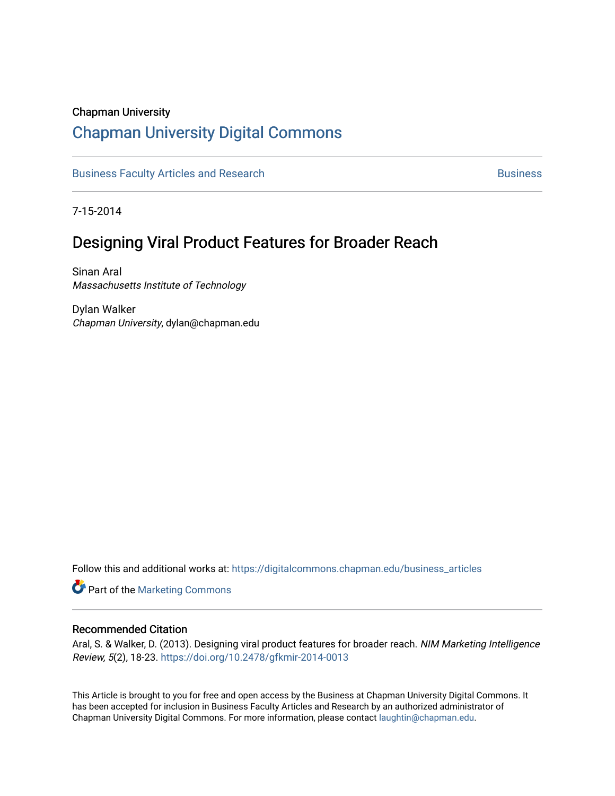## Chapman University

# [Chapman University Digital Commons](https://digitalcommons.chapman.edu/)

[Business Faculty Articles and Research](https://digitalcommons.chapman.edu/business_articles) **Business** [Business](https://digitalcommons.chapman.edu/business) **Business** 

7-15-2014

# Designing Viral Product Features for Broader Reach

Sinan Aral Massachusetts Institute of Technology

Dylan Walker Chapman University, dylan@chapman.edu

Follow this and additional works at: [https://digitalcommons.chapman.edu/business\\_articles](https://digitalcommons.chapman.edu/business_articles?utm_source=digitalcommons.chapman.edu%2Fbusiness_articles%2F139&utm_medium=PDF&utm_campaign=PDFCoverPages) 

Part of the [Marketing Commons](https://network.bepress.com/hgg/discipline/638?utm_source=digitalcommons.chapman.edu%2Fbusiness_articles%2F139&utm_medium=PDF&utm_campaign=PDFCoverPages)

### Recommended Citation

Aral, S. & Walker, D. (2013). Designing viral product features for broader reach. NIM Marketing Intelligence Review, 5(2), 18-23.<https://doi.org/10.2478/gfkmir-2014-0013>

This Article is brought to you for free and open access by the Business at Chapman University Digital Commons. It has been accepted for inclusion in Business Faculty Articles and Research by an authorized administrator of Chapman University Digital Commons. For more information, please contact [laughtin@chapman.edu](mailto:laughtin@chapman.edu).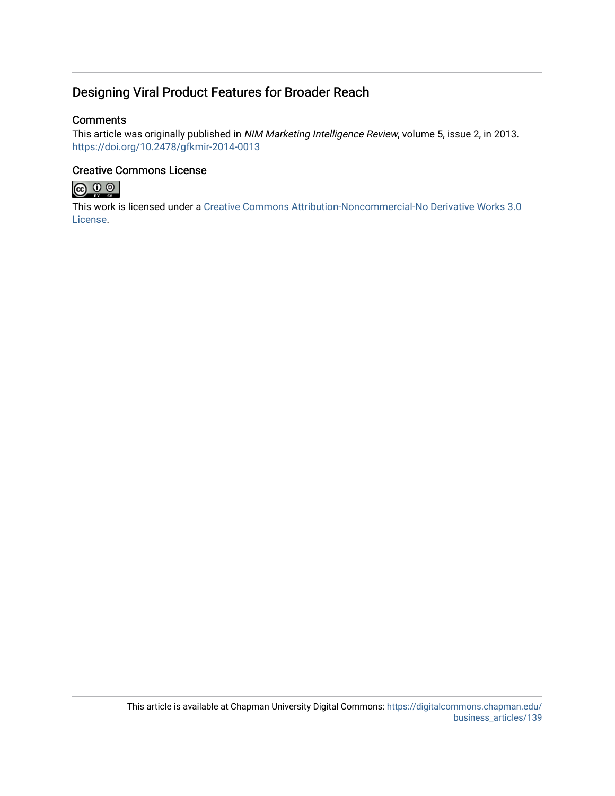## Designing Viral Product Features for Broader Reach

### **Comments**

This article was originally published in NIM Marketing Intelligence Review, volume 5, issue 2, in 2013. <https://doi.org/10.2478/gfkmir-2014-0013>

## Creative Commons License



This work is licensed under a [Creative Commons Attribution-Noncommercial-No Derivative Works 3.0](https://creativecommons.org/licenses/by-nc-nd/3.0/) [License](https://creativecommons.org/licenses/by-nc-nd/3.0/).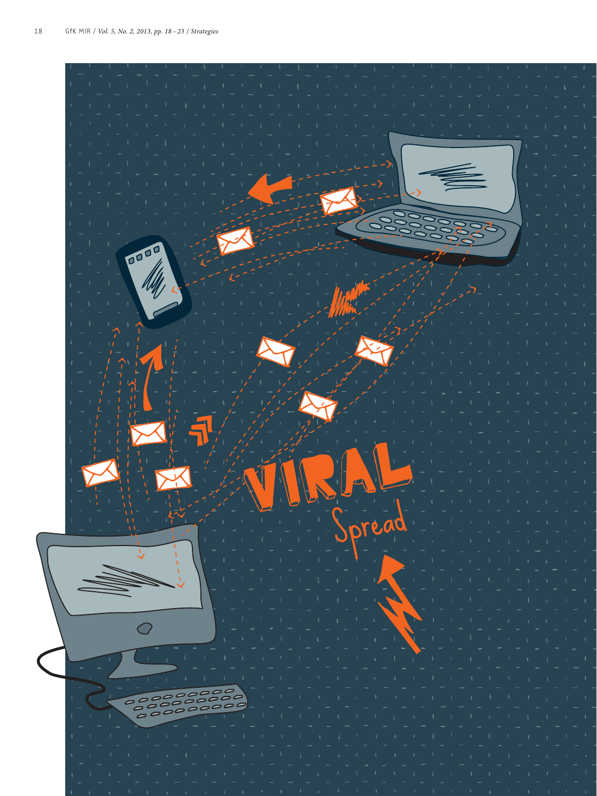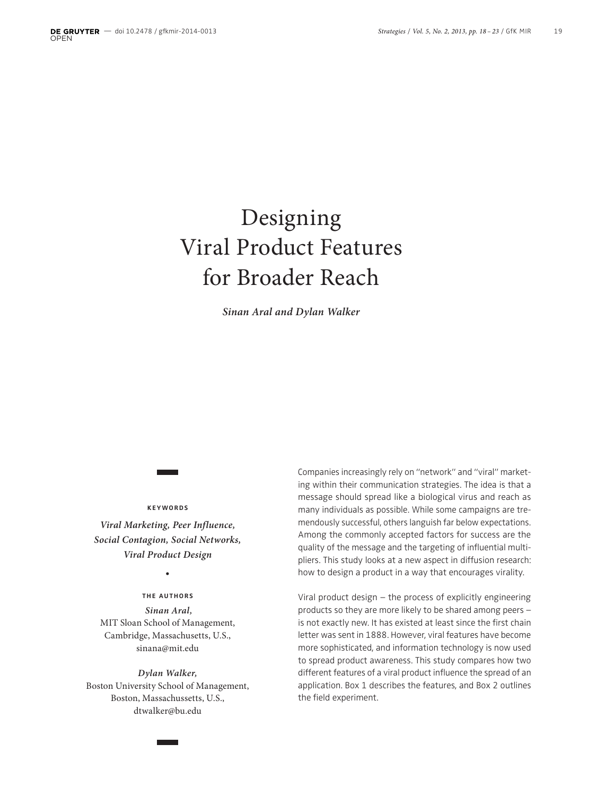# Designing Viral Product Features for Broader Reach

*Sinan Aral and Dylan Walker*

#### **KEYWORDS**

*Viral Marketing, Peer Influence, Social Contagion, Social Networks, Viral Product Design*

•

### the authors

 *Sinan Aral,* MIT Sloan School of Management, Cambridge, Massachusetts, U.S., sinana@mit.edu

*Dylan Walker,*  Boston University School of Management, Boston, Massachussetts, U.S., dtwalker@bu.edu

Companies increasingly rely on "network" and "viral" marketing within their communication strategies. The idea is that a message should spread like a biological virus and reach as many individuals as possible. While some campaigns are tremendously successful, others languish far below expectations. Among the commonly accepted factors for success are the quality of the message and the targeting of influential multipliers. This study looks at a new aspect in diffusion research: how to design a product in a way that encourages virality.

Viral product design – the process of explicitly engineering products so they are more likely to be shared among peers – is not exactly new. It has existed at least since the first chain letter was sent in 1888. However, viral features have become more sophisticated, and information technology is now used to spread product awareness. This study compares how two different features of a viral product influence the spread of an application. Box 1 describes the features, and Box 2 outlines the field experiment.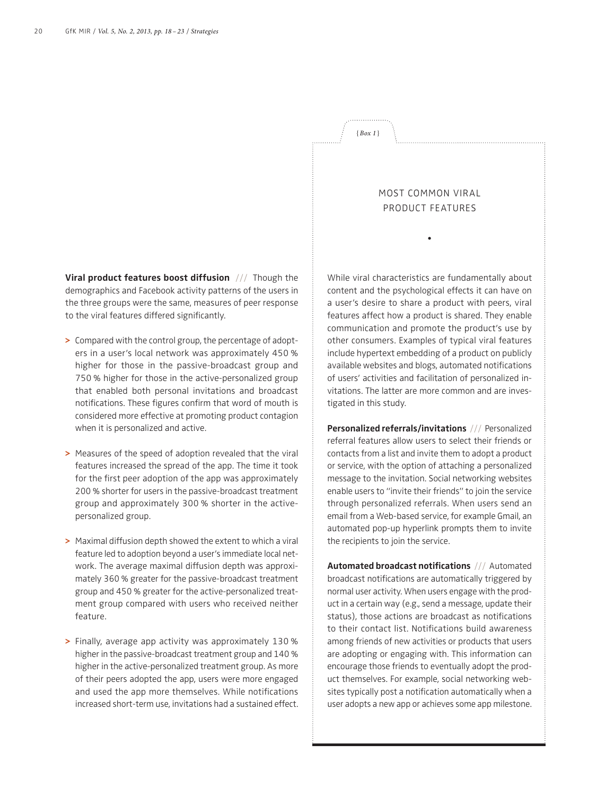**Viral product features boost diffusion** /// Though the demographics and Facebook activity patterns of the users in the three groups were the same, measures of peer response to the viral features differed significantly.

- **>** Compared with the control group, the percentage of adopters in a user's local network was approximately 450 % higher for those in the passive-broadcast group and 750 % higher for those in the active-personalized group that enabled both personal invitations and broadcast notifications. These figures confirm that word of mouth is considered more effective at promoting product contagion when it is personalized and active.
- **>** Measures of the speed of adoption revealed that the viral features increased the spread of the app. The time it took for the first peer adoption of the app was approximately 200 % shorter for users in the passive-broadcast treatment group and approximately 300 % shorter in the activepersonalized group.
- **>** Maximal diffusion depth showed the extent to which a viral feature led to adoption beyond a user's immediate local network. The average maximal diffusion depth was approximately 360 % greater for the passive-broadcast treatment group and 450 % greater for the active-personalized treatment group compared with users who received neither feature.
- **>** Finally, average app activity was approximately 130 % higher in the passive-broadcast treatment group and 140 % higher in the active-personalized treatment group. As more of their peers adopted the app, users were more engaged and used the app more themselves. While notifications increased short-term use, invitations had a sustained effect.

## MOST COMMON VIRAL PRODUCT FEATURES

•

{*Box 1* }

While viral characteristics are fundamentally about content and the psychological effects it can have on a user's desire to share a product with peers, viral features affect how a product is shared. They enable communication and promote the product's use by other consumers. Examples of typical viral features include hypertext embedding of a product on publicly available websites and blogs, automated notifications of users' activities and facilitation of personalized invitations. The latter are more common and are investigated in this study.

**Personalized referrals/invitations** /// Personalized referral features allow users to select their friends or contacts from a list and invite them to adopt a product or service, with the option of attaching a personalized message to the invitation. Social networking websites enable users to "invite their friends" to join the service through personalized referrals. When users send an email from a Web-based service, for example Gmail, an automated pop-up hyperlink prompts them to invite the recipients to join the service.

**Automated broadcast notifications** /// Automated broadcast notifications are automatically triggered by normal user activity. When users engage with the product in a certain way (e.g., send a message, update their status), those actions are broadcast as notifications to their contact list. Notifications build awareness among friends of new activities or products that users are adopting or engaging with. This information can encourage those friends to eventually adopt the product themselves. For example, social networking websites typically post a notification automatically when a user adopts a new app or achieves some app milestone.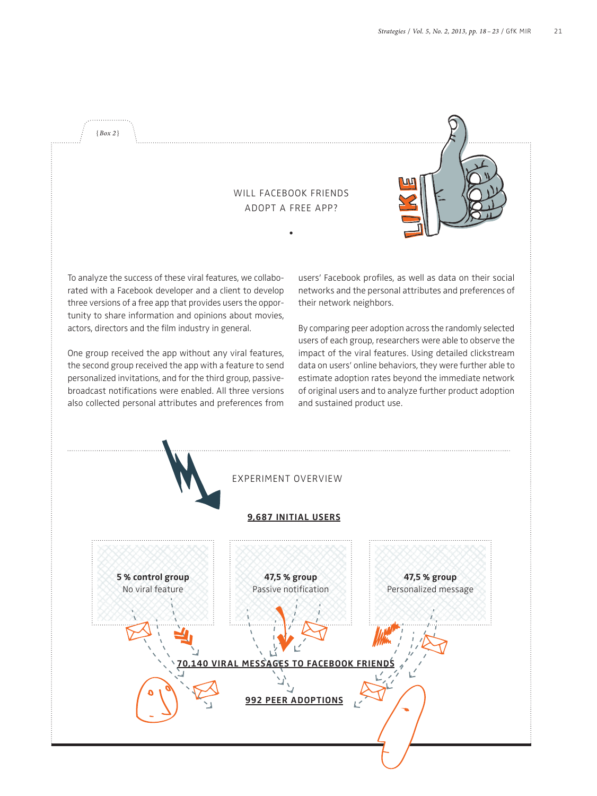#### {*Box 2* }

## WILL FACEBOOK FRIENDS ADOPT A FREE APP?

•

To analyze the success of these viral features, we collaborated with a Facebook developer and a client to develop three versions of a free app that provides users the opportunity to share information and opinions about movies, actors, directors and the film industry in general.

One group received the app without any viral features, the second group received the app with a feature to send personalized invitations, and for the third group, passivebroadcast notifications were enabled. All three versions also collected personal attributes and preferences from users' Facebook profiles, as well as data on their social networks and the personal attributes and preferences of their network neighbors.

By comparing peer adoption across the randomly selected users of each group, researchers were able to observe the impact of the viral features. Using detailed clickstream data on users' online behaviors, they were further able to estimate adoption rates beyond the immediate network of original users and to analyze further product adoption and sustained product use.

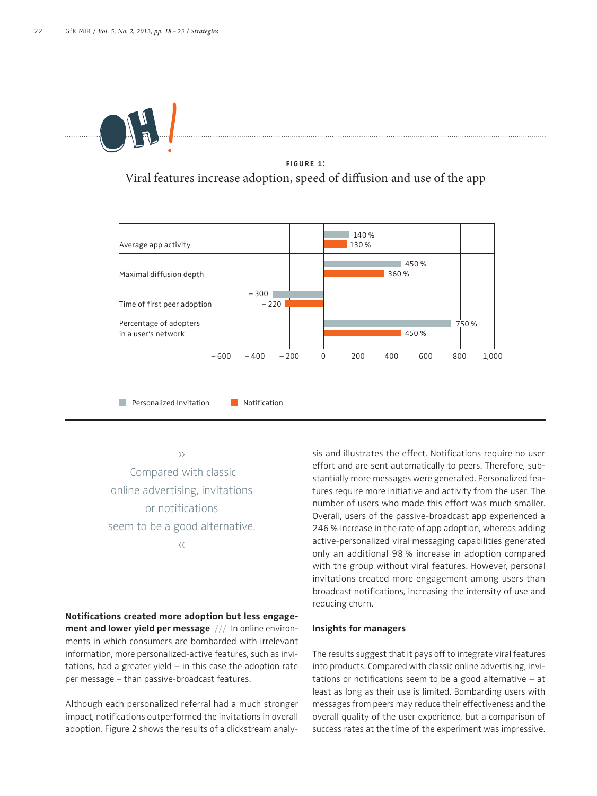

figure 1: Viral features increase adoption, speed of diffusion and use of the app



 $\rangle$  Compared with classic online advertising, invitations or notifications seem to be a good alternative. «

**Notifications created more adoption but less engagement and lower yield per message** /// In online environments in which consumers are bombarded with irrelevant information, more personalized-active features, such as invitations, had a greater yield  $-$  in this case the adoption rate per message – than passive-broadcast features.

Although each personalized referral had a much stronger impact, notifications outperformed the invitations in overall adoption. Figure 2 shows the results of a clickstream analysis and illustrates the effect. Notifications require no user effort and are sent automatically to peers. Therefore, substantially more messages were generated. Personalized features require more initiative and activity from the user. The number of users who made this effort was much smaller. Overall, users of the passive-broadcast app experienced a 246 % increase in the rate of app adoption, whereas adding active-personalized viral messaging capabilities generated only an additional 98 % increase in adoption compared with the group without viral features. However, personal invitations created more engagement among users than broadcast notifications, increasing the intensity of use and reducing churn.

#### **Insights for managers**

The results suggest that it pays off to integrate viral features into products. Compared with classic online advertising, invitations or notifications seem to be a good alternative – at least as long as their use is limited. Bombarding users with messages from peers may reduce their effectiveness and the overall quality of the user experience, but a comparison of success rates at the time of the experiment was impressive.